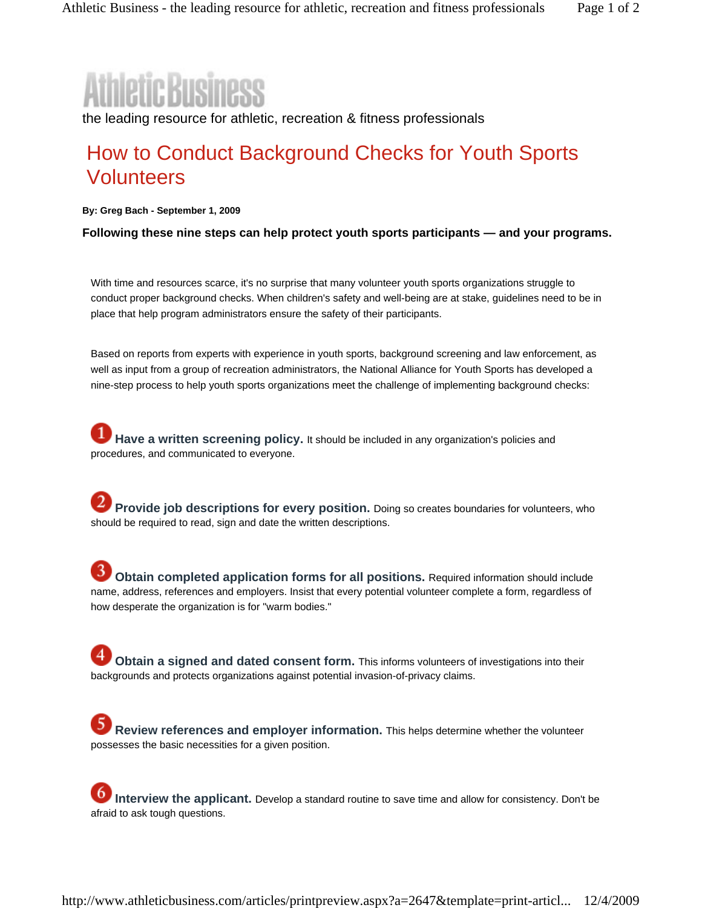the leading resource for athletic, recreation & fitness professionals

## How to Conduct Background Checks for Youth Sports **Volunteers**

**By: Greg Bach - September 1, 2009** 

**Following these nine steps can help protect youth sports participants — and your programs.**

With time and resources scarce, it's no surprise that many volunteer youth sports organizations struggle to conduct proper background checks. When children's safety and well-being are at stake, guidelines need to be in place that help program administrators ensure the safety of their participants.

Based on reports from experts with experience in youth sports, background screening and law enforcement, as well as input from a group of recreation administrators, the National Alliance for Youth Sports has developed a nine-step process to help youth sports organizations meet the challenge of implementing background checks:

**Have a written screening policy.** It should be included in any organization's policies and procedures, and communicated to everyone.

**Provide job descriptions for every position.** Doing so creates boundaries for volunteers, who should be required to read, sign and date the written descriptions.

**Obtain completed application forms for all positions.** Required information should include name, address, references and employers. Insist that every potential volunteer complete a form, regardless of how desperate the organization is for "warm bodies."

**Obtain a signed and dated consent form.** This informs volunteers of investigations into their backgrounds and protects organizations against potential invasion-of-privacy claims.

**Review references and employer information.** This helps determine whether the volunteer possesses the basic necessities for a given position.

**Interview the applicant.** Develop a standard routine to save time and allow for consistency. Don't be afraid to ask tough questions.